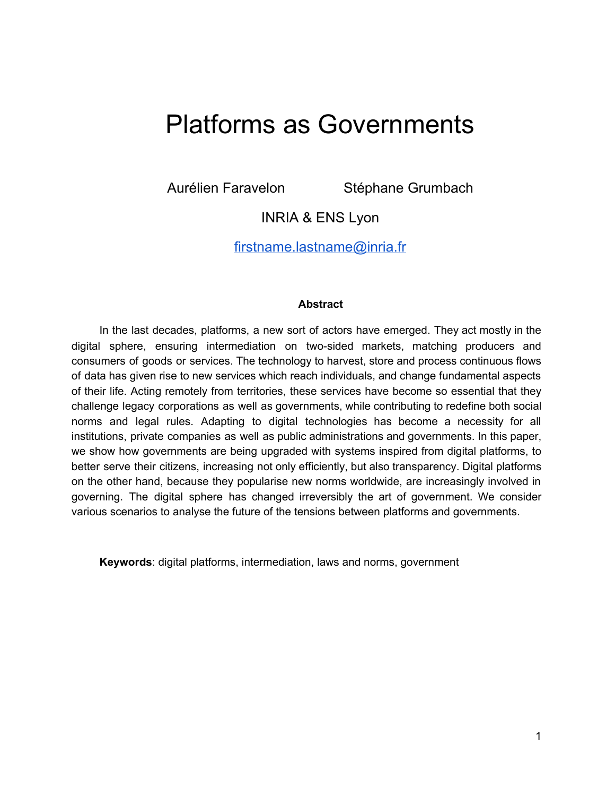# Platforms as Governments

Aurélien Faravelon Stéphane Grumbach

INRIA & ENS Lyon

[firstname.lastname@inria.fr](mailto:firstname.lastname@inria.fr)

## **Abstract**

In the last decades, platforms, a new sort of actors have emerged. They act mostly in the digital sphere, ensuring intermediation on two-sided markets, matching producers and consumers of goods or services. The technology to harvest, store and process continuous flows of data has given rise to new services which reach individuals, and change fundamental aspects of their life. Acting remotely from territories, these services have become so essential that they challenge legacy corporations as well as governments, while contributing to redefine both social norms and legal rules. Adapting to digital technologies has become a necessity for all institutions, private companies as well as public administrations and governments. In this paper, we show how governments are being upgraded with systems inspired from digital platforms, to better serve their citizens, increasing not only efficiently, but also transparency. Digital platforms on the other hand, because they popularise new norms worldwide, are increasingly involved in governing. The digital sphere has changed irreversibly the art of government. We consider various scenarios to analyse the future of the tensions between platforms and governments.

**Keywords**: digital platforms, intermediation, laws and norms, government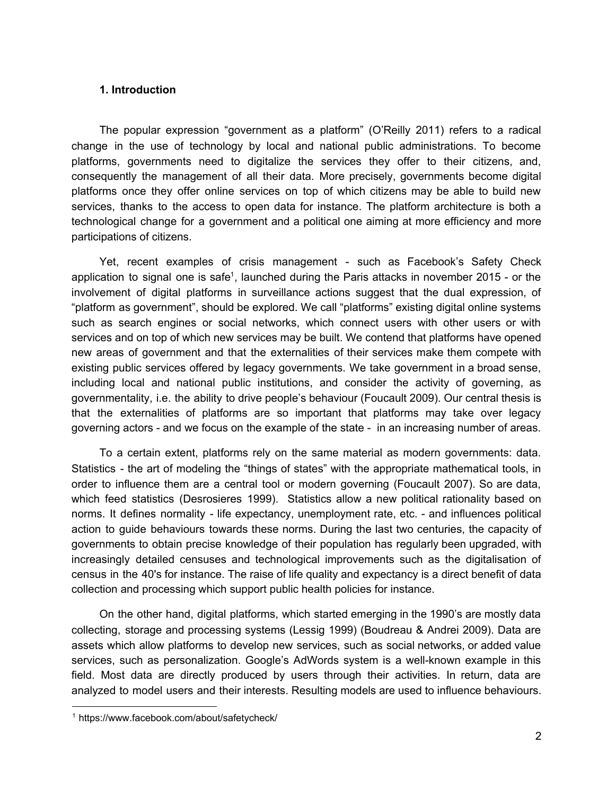## **1. Introduction**

The popular expression "government as a platform" [\(O'Reilly](https://paperpile.com/c/2pzSlT/bo6S) 2011) refers to a radical change in the use of technology by local and national public administrations. To become platforms, governments need to digitalize the services they offer to their citizens, and, consequently the management of all their data. More precisely, governments become digital platforms once they offer online services on top of which citizens may be able to build new services, thanks to the access to open data for instance. The platform architecture is both a technological change for a government and a political one aiming at more efficiency and more participations of citizens.

Yet, recent examples of crisis management - such as Facebook's Safety Check application to signal one is safe<sup>1</sup>, launched during the Paris attacks in november 2015 - or the involvement of digital platforms in surveillance actions suggest that the dual expression, of "platform as government", should be explored. We call "platforms" existing digital online systems such as search engines or social networks, which connect users with other users or with services and on top of which new services may be built. We contend that platforms have opened new areas of government and that the externalities of their services make them compete with existing public services offered by legacy governments. We take government in a broad sense, including local and national public institutions, and consider the activity of governing, as governmentality, i.e. the ability to drive people's behaviour (Foucault 2009). Our central thesis is that the externalities of platforms are so important that platforms may take over legacy governing actors - and we focus on the example of the state - in an increasing number of areas.

To a certain extent, platforms rely on the same material as modern governments: data. Statistics - the art of modeling the "things of states" with the appropriate mathematical tools, in order to influence them are a central tool or modern governing [\(Foucault](https://paperpile.com/c/2pzSlT/6cqT) 2007). So are data, which feed statistics [\(Desrosieres](https://paperpile.com/c/2pzSlT/dxLm) 1999). Statistics allow a new political rationality based on norms. It defines normality - life expectancy, unemployment rate, etc. - and influences political action to guide behaviours towards these norms. During the last two centuries, the capacity of governments to obtain precise knowledge of their population has regularly been upgraded, with increasingly detailed censuses and technological improvements such as the digitalisation of census in the 40's for instance. The raise of life quality and expectancy is a direct benefit of data collection and processing which support public health policies for instance.

On the other hand, digital platforms, which started emerging in the 1990's are mostly data collecting, storage and processing systems [\(Lessig](https://paperpile.com/c/2pzSlT/3vyg) 1999) [\(Boudreau](https://paperpile.com/c/2pzSlT/yemV) & Andrei 2009). Data are assets which allow platforms to develop new services, such as social networks, or added value services, such as personalization. Google's AdWords system is a well-known example in this field. Most data are directly produced by users through their activities. In return, data are analyzed to model users and their interests. Resulting models are used to influence behaviours.

<sup>1</sup> <https://www.facebook.com/about/safetycheck/>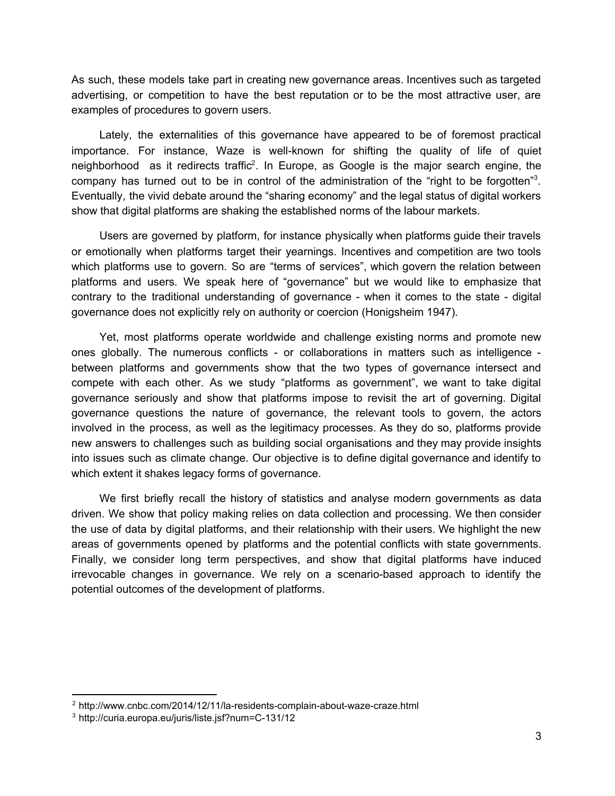As such, these models take part in creating new governance areas. Incentives such as targeted advertising, or competition to have the best reputation or to be the most attractive user, are examples of procedures to govern users.

Lately, the externalities of this governance have appeared to be of foremost practical importance. For instance, Waze is well-known for shifting the quality of life of quiet neighborhood as it redirects traffic<sup>2</sup>. In Europe, as Google is the major search engine, the company has turned out to be in control of the administration of the "right to be forgotten"<sup>3</sup>. Eventually, the vivid debate around the "sharing economy" and the legal status of digital workers show that digital platforms are shaking the established norms of the labour markets.

Users are governed by platform, for instance physically when platforms guide their travels or emotionally when platforms target their yearnings. Incentives and competition are two tools which platforms use to govern. So are "terms of services", which govern the relation between platforms and users. We speak here of "governance" but we would like to emphasize that contrary to the traditional understanding of governance - when it comes to the state - digital governance does not explicitly rely on authority or coercion [\(Honigsheim](https://paperpile.com/c/2pzSlT/ACyo) 1947).

Yet, most platforms operate worldwide and challenge existing norms and promote new ones globally. The numerous conflicts  $\overline{\phantom{a}}$  or collaborations in matters such as intelligence  $\overline{\phantom{a}}$ between platforms and governments show that the two types of governance intersect and compete with each other. As we study "platforms as government", we want to take digital governance seriously and show that platforms impose to revisit the art of governing. Digital governance questions the nature of governance, the relevant tools to govern, the actors involved in the process, as well as the legitimacy processes. As they do so, platforms provide new answers to challenges such as building social organisations and they may provide insights into issues such as climate change. Our objective is to define digital governance and identify to which extent it shakes legacy forms of governance.

We first briefly recall the history of statistics and analyse modern governments as data driven. We show that policy making relies on data collection and processing. We then consider the use of data by digital platforms, and their relationship with their users. We highlight the new areas of governments opened by platforms and the potential conflicts with state governments. Finally, we consider long term perspectives, and show that digital platforms have induced irrevocable changes in governance. We rely on a scenario-based approach to identify the potential outcomes of the development of platforms.

<sup>&</sup>lt;sup>2</sup> http://www.cnbc.com/2014/12/11/la-residents-complain-about-waze-craze.html

<sup>&</sup>lt;sup>3</sup> http://curia.europa.eu/juris/liste.jsf?num=C-131/12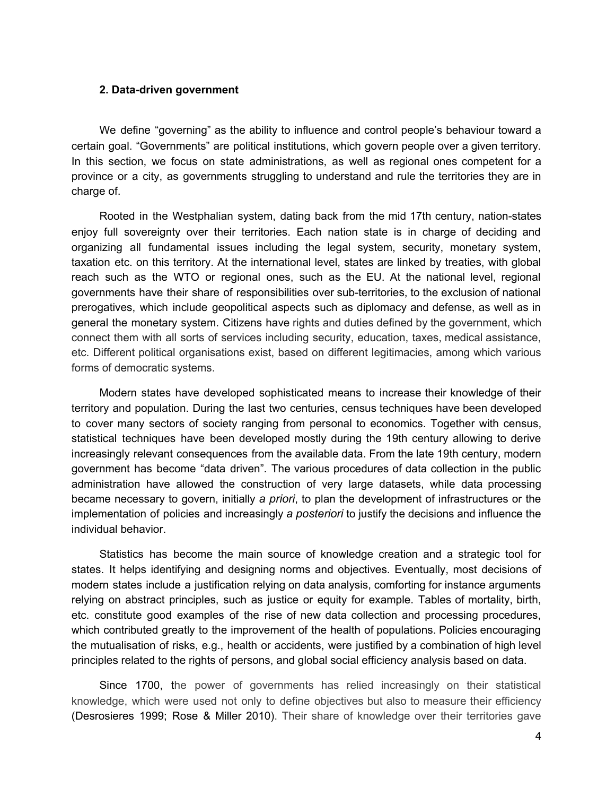#### **2. Data-driven government**

We define "governing" as the ability to influence and control people's behaviour toward a certain goal. "Governments" are political institutions, which govern people over a given territory. In this section, we focus on state administrations, as well as regional ones competent for a province or a city, as governments struggling to understand and rule the territories they are in charge of.

Rooted in the Westphalian system, dating back from the mid 17th century, nation-states enjoy full sovereignty over their territories. Each nation state is in charge of deciding and organizing all fundamental issues including the legal system, security, monetary system, taxation etc. on this territory. At the international level, states are linked by treaties, with global reach such as the WTO or regional ones, such as the EU. At the national level, regional governments have their share of responsibilities over sub-territories, to the exclusion of national prerogatives, which include geopolitical aspects such as diplomacy and defense, as well as in general the monetary system. Citizens have rights and duties defined by the government, which connect them with all sorts of services including security, education, taxes, medical assistance, etc. Different political organisations exist, based on different legitimacies, among which various forms of democratic systems.

Modern states have developed sophisticated means to increase their knowledge of their territory and population. During the last two centuries, census techniques have been developed to cover many sectors of society ranging from personal to economics. Together with census, statistical techniques have been developed mostly during the 19th century allowing to derive increasingly relevant consequences from the available data. From the late 19th century, modern government has become "data driven". The various procedures of data collection in the public administration have allowed the construction of very large datasets, while data processing became necessary to govern, initially *a priori*, to plan the development of infrastructures or the implementation of policies and increasingly *a posteriori* to justify the decisions and influence the individual behavior.

Statistics has become the main source of knowledge creation and a strategic tool for states. It helps identifying and designing norms and objectives. Eventually, most decisions of modern states include a justification relying on data analysis, comforting for instance arguments relying on abstract principles, such as justice or equity for example. Tables of mortality, birth, etc. constitute good examples of the rise of new data collection and processing procedures, which contributed greatly to the improvement of the health of populations. Policies encouraging the mutualisation of risks, e.g., health or accidents, were justified by a combination of high level principles related to the rights of persons, and global social efficiency analysis based on data.

Since 1700, the power of governments has relied increasingly on their statistical knowledge, which were used not only to define objectives but also to measure their efficiency [\(Desrosieres](https://paperpile.com/c/2pzSlT/dxLm+acTC) 1999; Rose & Miller 2010). Their share of knowledge over their territories gave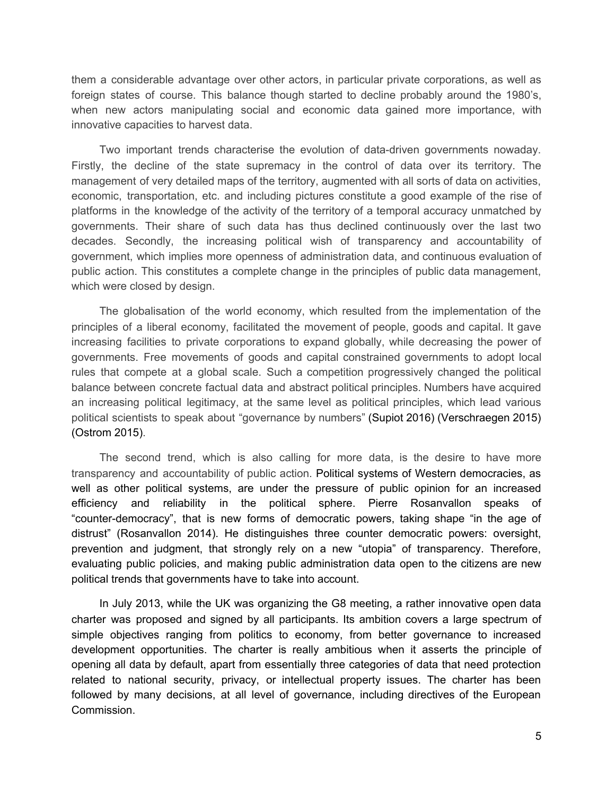them a considerable advantage over other actors, in particular private corporations, as well as foreign states of course. This balance though started to decline probably around the 1980's, when new actors manipulating social and economic data gained more importance, with innovative capacities to harvest data.

Two important trends characterise the evolution of data-driven governments nowaday. Firstly, the decline of the state supremacy in the control of data over its territory. The management of very detailed maps of the territory, augmented with all sorts of data on activities, economic, transportation, etc. and including pictures constitute a good example of the rise of platforms in the knowledge of the activity of the territory of a temporal accuracy unmatched by governments. Their share of such data has thus declined continuously over the last two decades. Secondly, the increasing political wish of transparency and accountability of government, which implies more openness of administration data, and continuous evaluation of public action. This constitutes a complete change in the principles of public data management, which were closed by design.

The globalisation of the world economy, which resulted from the implementation of the principles of a liberal economy, facilitated the movement of people, goods and capital. It gave increasing facilities to private corporations to expand globally, while decreasing the power of governments. Free movements of goods and capital constrained governments to adopt local rules that compete at a global scale. Such a competition progressively changed the political balance between concrete factual data and abstract political principles. Numbers have acquired an increasing political legitimacy, at the same level as political principles, which lead various political scientists to speak about "governance by numbers" [\(Supiot](https://paperpile.com/c/2pzSlT/XlXQ) 2016) [\(Verschraegen](https://paperpile.com/c/2pzSlT/1koA) 2015) [\(Ostrom 2015\).](https://paperpile.com/c/2pzSlT/bv4C)

The second trend, which is also calling for more data, is the desire to have more transparency and accountability of public action. Political systems of Western democracies, as well as other political systems, are under the pressure of public opinion for an increased efficiency and reliability in the political sphere. Pierre Rosanvallon speaks of "counter-democracy", that is new forms of democratic powers, taking shape "in the age of distrust" [\(Rosanvallon](https://paperpile.com/c/2pzSlT/SMT9) 2014). He distinguishes three counter democratic powers: oversight, prevention and judgment, that strongly rely on a new "utopia" of transparency. Therefore, evaluating public policies, and making public administration data open to the citizens are new political trends that governments have to take into account.

In July 2013, while the UK was organizing the G8 meeting, a rather innovative open data charter was proposed and signed by all participants. Its ambition covers a large spectrum of simple objectives ranging from politics to economy, from better governance to increased development opportunities. The charter is really ambitious when it asserts the principle of opening all data by default, apart from essentially three categories of data that need protection related to national security, privacy, or intellectual property issues. The charter has been followed by many decisions, at all level of governance, including directives of the European Commission.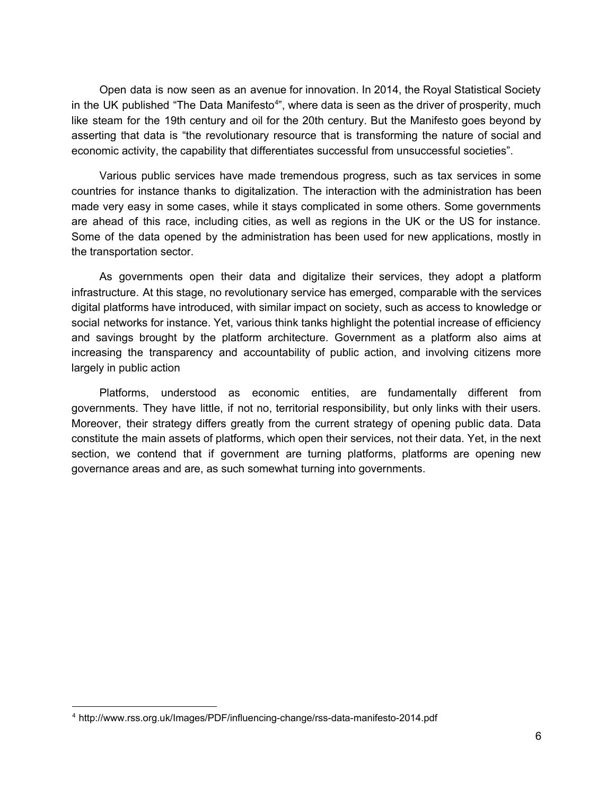Open data is now seen as an avenue for innovation. In 2014, the Royal Statistical Society in the UK published "The Data Manifesto<sup>4</sup>", where data is seen as the driver of prosperity, much like steam for the 19th century and oil for the 20th century. But the Manifesto goes beyond by asserting that data is "the revolutionary resource that is transforming the nature of social and economic activity, the capability that differentiates successful from unsuccessful societies".

Various public services have made tremendous progress, such as tax services in some countries for instance thanks to digitalization. The interaction with the administration has been made very easy in some cases, while it stays complicated in some others. Some governments are ahead of this race, including cities, as well as regions in the UK or the US for instance. Some of the data opened by the administration has been used for new applications, mostly in the transportation sector.

As governments open their data and digitalize their services, they adopt a platform infrastructure. At this stage, no revolutionary service has emerged, comparable with the services digital platforms have introduced, with similar impact on society, such as access to knowledge or social networks for instance. Yet, various think tanks highlight the potential increase of efficiency and savings brought by the platform architecture. Government as a platform also aims at increasing the transparency and accountability of public action, and involving citizens more largely in public action

Platforms, understood as economic entities, are fundamentally different from governments. They have little, if not no, territorial responsibility, but only links with their users. Moreover, their strategy differs greatly from the current strategy of opening public data. Data constitute the main assets of platforms, which open their services, not their data. Yet, in the next section, we contend that if government are turning platforms, platforms are opening new governance areas and are, as such somewhat turning into governments.

<sup>&</sup>lt;sup>4</sup> http://www.rss.org.uk/Images/PDF/influencing-change/rss-data-manifesto-2014.pdf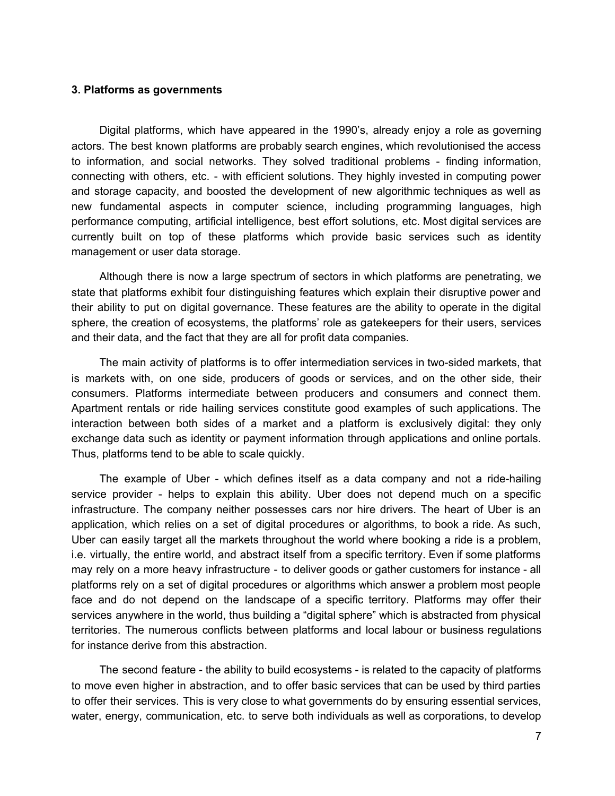#### **3. Platforms as governments**

Digital platforms, which have appeared in the 1990's, already enjoy a role as governing actors. The best known platforms are probably search engines, which revolutionised the access to information, and social networks. They solved traditional problems - finding information, connecting with others, etc. - with efficient solutions. They highly invested in computing power and storage capacity, and boosted the development of new algorithmic techniques as well as new fundamental aspects in computer science, including programming languages, high performance computing, artificial intelligence, best effort solutions, etc. Most digital services are currently built on top of these platforms which provide basic services such as identity management or user data storage.

Although there is now a large spectrum of sectors in which platforms are penetrating, we state that platforms exhibit four distinguishing features which explain their disruptive power and their ability to put on digital governance. These features are the ability to operate in the digital sphere, the creation of ecosystems, the platforms' role as gatekeepers for their users, services and their data, and the fact that they are all for profit data companies.

The main activity of platforms is to offer intermediation services in two-sided markets, that is markets with, on one side, producers of goods or services, and on the other side, their consumers. Platforms intermediate between producers and consumers and connect them. Apartment rentals or ride hailing services constitute good examples of such applications. The interaction between both sides of a market and a platform is exclusively digital: they only exchange data such as identity or payment information through applications and online portals. Thus, platforms tend to be able to scale quickly.

The example of Uber - which defines itself as a data company and not a ride-hailing service provider - helps to explain this ability. Uber does not depend much on a specific infrastructure. The company neither possesses cars nor hire drivers. The heart of Uber is an application, which relies on a set of digital procedures or algorithms, to book a ride. As such, Uber can easily target all the markets throughout the world where booking a ride is a problem, i.e. virtually, the entire world, and abstract itself from a specific territory. Even if some platforms may rely on a more heavy infrastructure - to deliver goods or gather customers for instance - all platforms rely on a set of digital procedures or algorithms which answer a problem most people face and do not depend on the landscape of a specific territory. Platforms may offer their services anywhere in the world, thus building a "digital sphere" which is abstracted from physical territories. The numerous conflicts between platforms and local labour or business regulations for instance derive from this abstraction.

The second feature - the ability to build ecosystems - is related to the capacity of platforms to move even higher in abstraction, and to offer basic services that can be used by third parties to offer their services. This is very close to what governments do by ensuring essential services, water, energy, communication, etc. to serve both individuals as well as corporations, to develop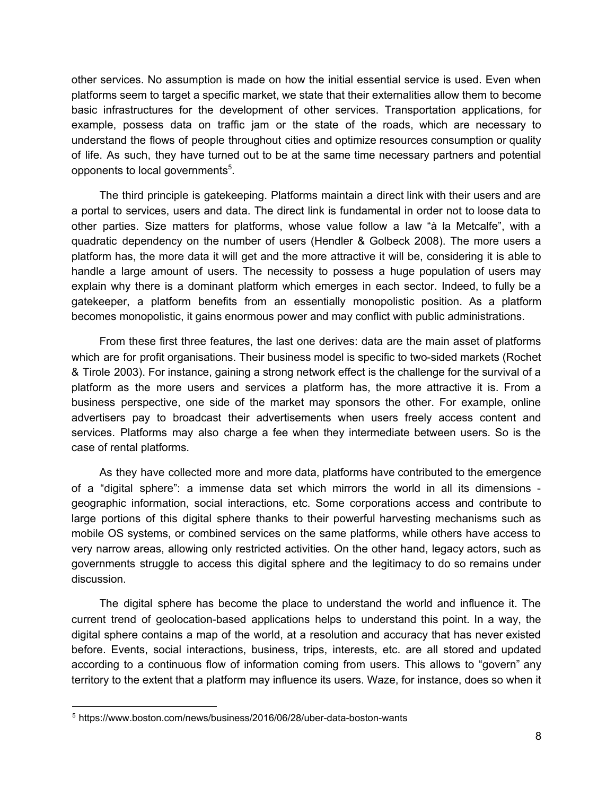other services. No assumption is made on how the initial essential service is used. Even when platforms seem to target a specific market, we state that their externalities allow them to become basic infrastructures for the development of other services. Transportation applications, for example, possess data on traffic jam or the state of the roads, which are necessary to understand the flows of people throughout cities and optimize resources consumption or quality of life. As such, they have turned out to be at the same time necessary partners and potential opponents to local governments<sup>5</sup>.

The third principle is gatekeeping. Platforms maintain a direct link with their users and are a portal to services, users and data. The direct link is fundamental in order not to loose data to other parties. Size matters for platforms, whose value follow a law "à la Metcalfe", with a quadratic dependency on the number of users [\(Hendler](https://paperpile.com/c/2pzSlT/kug6) & Golbeck 2008). The more users a platform has, the more data it will get and the more attractive it will be, considering it is able to handle a large amount of users. The necessity to possess a huge population of users may explain why there is a dominant platform which emerges in each sector. Indeed, to fully be a gatekeeper, a platform benefits from an essentially monopolistic position. As a platform becomes monopolistic, it gains enormous power and may conflict with public administrations.

From these first three features, the last one derives: data are the main asset of platforms which are for profit organisations. Their business model is specific to two-sided markets [\(Rochet](https://paperpile.com/c/2pzSlT/DTvB) & Tirole [2003\).](https://paperpile.com/c/2pzSlT/DTvB) For instance, gaining a strong network effect is the challenge for the survival of a platform as the more users and services a platform has, the more attractive it is. From a business perspective, one side of the market may sponsors the other. For example, online advertisers pay to broadcast their advertisements when users freely access content and services. Platforms may also charge a fee when they intermediate between users. So is the case of rental platforms.

As they have collected more and more data, platforms have contributed to the emergence of a "digital sphere": a immense data set which mirrors the world in all its dimensions geographic information, social interactions, etc. Some corporations access and contribute to large portions of this digital sphere thanks to their powerful harvesting mechanisms such as mobile OS systems, or combined services on the same platforms, while others have access to very narrow areas, allowing only restricted activities. On the other hand, legacy actors, such as governments struggle to access this digital sphere and the legitimacy to do so remains under discussion.

The digital sphere has become the place to understand the world and influence it. The current trend of geolocation-based applications helps to understand this point. In a way, the digital sphere contains a map of the world, at a resolution and accuracy that has never existed before. Events, social interactions, business, trips, interests, etc. are all stored and updated according to a continuous flow of information coming from users. This allows to "govern" any territory to the extent that a platform may influence its users. Waze, for instance, does so when it

<sup>&</sup>lt;sup>5</sup> https://www.boston.com/news/business/2016/06/28/uber-data-boston-wants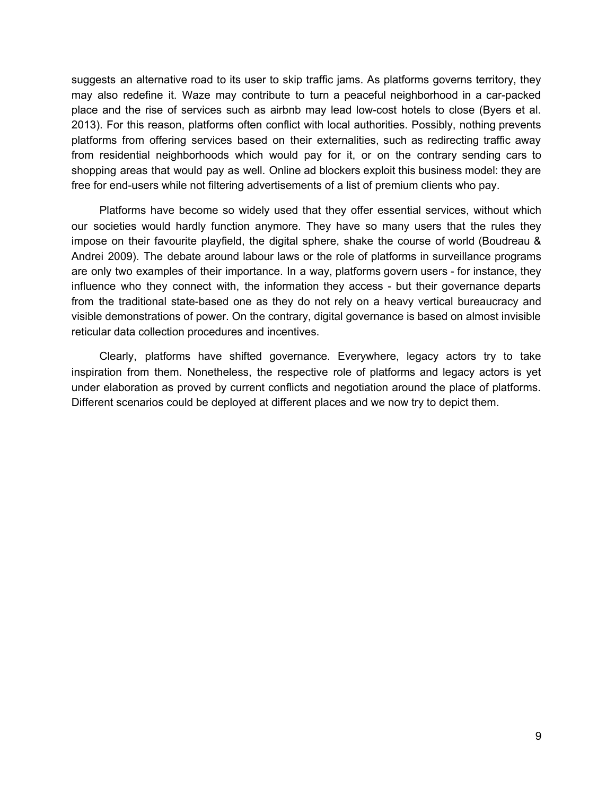suggests an alternative road to its user to skip traffic jams. As platforms governs territory, they may also redefine it. Waze may contribute to turn a peaceful neighborhood in a car-packed place and the rise of services such as airbnb may lead low-cost hotels to close [\(Byers](https://paperpile.com/c/2pzSlT/68NP) et al. [2013\).](https://paperpile.com/c/2pzSlT/68NP) For this reason, platforms often conflict with local authorities. Possibly, nothing prevents platforms from offering services based on their externalities, such as redirecting traffic away from residential neighborhoods which would pay for it, or on the contrary sending cars to shopping areas that would pay as well. Online ad blockers exploit this business model: they are free for end-users while not filtering advertisements of a list of premium clients who pay.

Platforms have become so widely used that they offer essential services, without which our societies would hardly function anymore. They have so many users that the rules they impose on their favourite playfield, the digital sphere, shake the course of world [\(Boudreau](https://paperpile.com/c/2pzSlT/yemV) & [Andrei](https://paperpile.com/c/2pzSlT/yemV) 2009). The debate around labour laws or the role of platforms in surveillance programs are only two examples of their importance. In a way, platforms govern users - for instance, they influence who they connect with, the information they access - but their governance departs from the traditional state-based one as they do not rely on a heavy vertical bureaucracy and visible demonstrations of power. On the contrary, digital governance is based on almost invisible reticular data collection procedures and incentives.

Clearly, platforms have shifted governance. Everywhere, legacy actors try to take inspiration from them. Nonetheless, the respective role of platforms and legacy actors is yet under elaboration as proved by current conflicts and negotiation around the place of platforms. Different scenarios could be deployed at different places and we now try to depict them.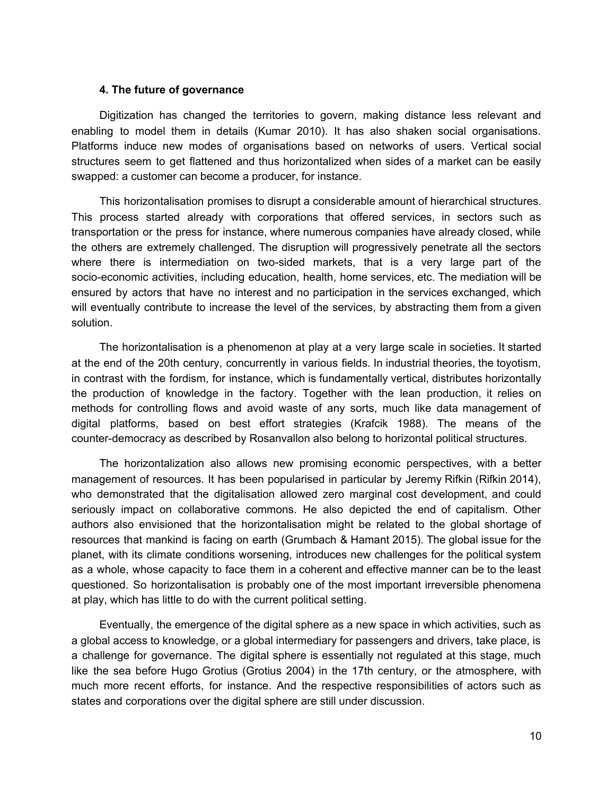## **4. The future of governance**

Digitization has changed the territories to govern, making distance less relevant and enabling to model them in details [\(Kumar](https://paperpile.com/c/2pzSlT/bAyv) 2010). It has also shaken social organisations. Platforms induce new modes of organisations based on networks of users. Vertical social structures seem to get flattened and thus horizontalized when sides of a market can be easily swapped: a customer can become a producer, for instance.

This horizontalisation promises to disrupt a considerable amount of hierarchical structures. This process started already with corporations that offered services, in sectors such as transportation or the press for instance, where numerous companies have already closed, while the others are extremely challenged. The disruption will progressively penetrate all the sectors where there is intermediation on two-sided markets, that is a very large part of the socio-economic activities, including education, health, home services, etc. The mediation will be ensured by actors that have no interest and no participation in the services exchanged, which will eventually contribute to increase the level of the services, by abstracting them from a given solution.

The horizontalisation is a phenomenon at play at a very large scale in societies. It started at the end of the 20th century, concurrently in various fields. In industrial theories, the toyotism, in contrast with the fordism, for instance, which is fundamentally vertical, distributes horizontally the production of knowledge in the factory. Together with the lean production, it relies on methods for controlling flows and avoid waste of any sorts, much like data management of digital platforms, based on best effort strategies [\(Krafcik](https://paperpile.com/c/2pzSlT/CEgu) 1988). The means of the counter-democracy as described by Rosanvallon also belong to horizontal political structures.

The horizontalization also allows new promising economic perspectives, with a better management of resources. It has been popularised in particular by Jeremy Rifkin [\(Rifkin](https://paperpile.com/c/2pzSlT/Eczu) 2014), who demonstrated that the digitalisation allowed zero marginal cost development, and could seriously impact on collaborative commons. He also depicted the end of capitalism. Other authors also envisioned that the horizontalisation might be related to the global shortage of resources that mankind is facing on earth [\(Grumbach](https://paperpile.com/c/2pzSlT/p4ZS) & Hamant 2015). The global issue for the planet, with its climate conditions worsening, introduces new challenges for the political system as a whole, whose capacity to face them in a coherent and effective manner can be to the least questioned. So horizontalisation is probably one of the most important irreversible phenomena at play, which has little to do with the current political setting.

Eventually, the emergence of the digital sphere as a new space in which activities, such as a global access to knowledge, or a global intermediary for passengers and drivers, take place, is a challenge for governance. The digital sphere is essentially not regulated at this stage, much like the sea before Hugo Grotius [\(Grotius](https://paperpile.com/c/2pzSlT/pOg1) 2004) in the 17th century, or the atmosphere, with much more recent efforts, for instance. And the respective responsibilities of actors such as states and corporations over the digital sphere are still under discussion.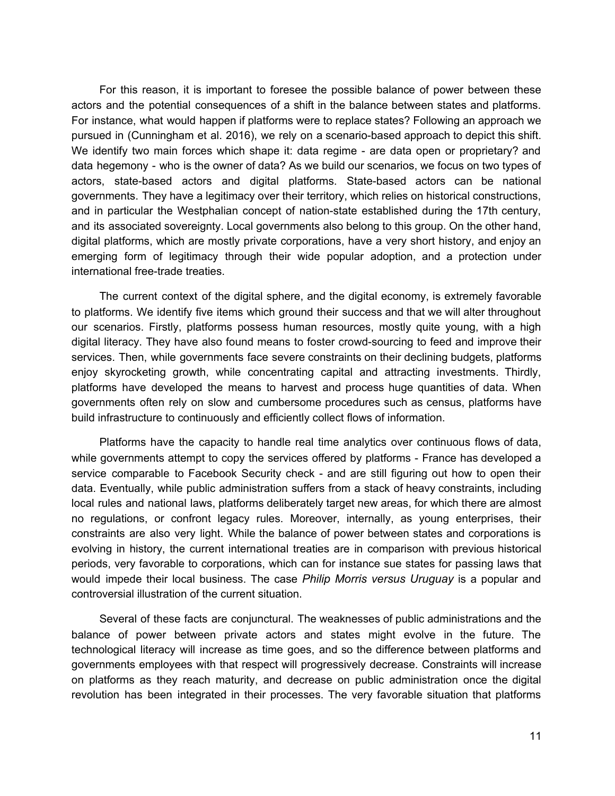For this reason, it is important to foresee the possible balance of power between these actors and the potential consequences of a shift in the balance between states and platforms. For instance, what would happen if platforms were to replace states? Following an approach we pursued in [\(Cunningham](https://paperpile.com/c/2pzSlT/HtpT) et al. 2016), we rely on a scenario-based approach to depict this shift. We identify two main forces which shape it: data regime - are data open or proprietary? and data hegemony - who is the owner of data? As we build our scenarios, we focus on two types of actors, state-based actors and digital platforms. State-based actors can be national governments. They have a legitimacy over their territory, which relies on historical constructions, and in particular the Westphalian concept of nation-state established during the 17th century, and its associated sovereignty. Local governments also belong to this group. On the other hand, digital platforms, which are mostly private corporations, have a very short history, and enjoy an emerging form of legitimacy through their wide popular adoption, and a protection under international free-trade treaties.

The current context of the digital sphere, and the digital economy, is extremely favorable to platforms. We identify five items which ground their success and that we will alter throughout our scenarios. Firstly, platforms possess human resources, mostly quite young, with a high digital literacy. They have also found means to foster crowd-sourcing to feed and improve their services. Then, while governments face severe constraints on their declining budgets, platforms enjoy skyrocketing growth, while concentrating capital and attracting investments. Thirdly, platforms have developed the means to harvest and process huge quantities of data. When governments often rely on slow and cumbersome procedures such as census, platforms have build infrastructure to continuously and efficiently collect flows of information.

Platforms have the capacity to handle real time analytics over continuous flows of data, while governments attempt to copy the services offered by platforms - France has developed a service comparable to Facebook Security check - and are still figuring out how to open their data. Eventually, while public administration suffers from a stack of heavy constraints, including local rules and national laws, platforms deliberately target new areas, for which there are almost no regulations, or confront legacy rules. Moreover, internally, as young enterprises, their constraints are also very light. While the balance of power between states and corporations is evolving in history, the current international treaties are in comparison with previous historical periods, very favorable to corporations, which can for instance sue states for passing laws that would impede their local business. The case *Philip Morris versus Uruguay* is a popular and controversial illustration of the current situation.

Several of these facts are conjunctural. The weaknesses of public administrations and the balance of power between private actors and states might evolve in the future. The technological literacy will increase as time goes, and so the difference between platforms and governments employees with that respect will progressively decrease. Constraints will increase on platforms as they reach maturity, and decrease on public administration once the digital revolution has been integrated in their processes. The very favorable situation that platforms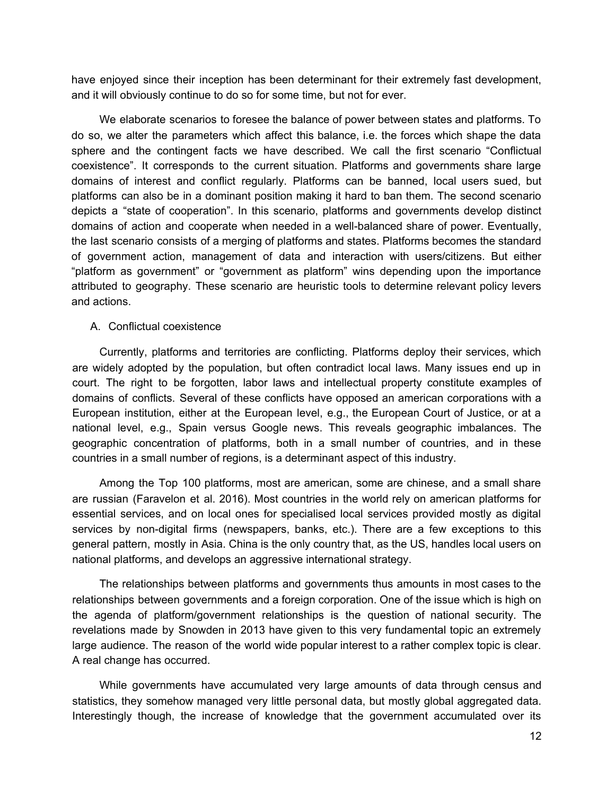have enjoyed since their inception has been determinant for their extremely fast development, and it will obviously continue to do so for some time, but not for ever.

We elaborate scenarios to foresee the balance of power between states and platforms. To do so, we alter the parameters which affect this balance, i.e. the forces which shape the data sphere and the contingent facts we have described. We call the first scenario "Conflictual coexistence". It corresponds to the current situation. Platforms and governments share large domains of interest and conflict regularly. Platforms can be banned, local users sued, but platforms can also be in a dominant position making it hard to ban them. The second scenario depicts a "state of cooperation". In this scenario, platforms and governments develop distinct domains of action and cooperate when needed in a well-balanced share of power. Eventually, the last scenario consists of a merging of platforms and states. Platforms becomes the standard of government action, management of data and interaction with users/citizens. But either "platform as government" or "government as platform" wins depending upon the importance attributed to geography. These scenario are heuristic tools to determine relevant policy levers and actions.

## A. Conflictual coexistence

Currently, platforms and territories are conflicting. Platforms deploy their services, which are widely adopted by the population, but often contradict local laws. Many issues end up in court. The right to be forgotten, labor laws and intellectual property constitute examples of domains of conflicts. Several of these conflicts have opposed an american corporations with a European institution, either at the European level, e.g., the European Court of Justice, or at a national level, e.g., Spain versus Google news. This reveals geographic imbalances. The geographic concentration of platforms, both in a small number of countries, and in these countries in a small number of regions, is a determinant aspect of this industry.

Among the Top 100 platforms, most are american, some are chinese, and a small share are russian [\(Faravelon](https://paperpile.com/c/2pzSlT/jVPz) et al. 2016). Most countries in the world rely on american platforms for essential services, and on local ones for specialised local services provided mostly as digital services by non-digital firms (newspapers, banks, etc.). There are a few exceptions to this general pattern, mostly in Asia. China is the only country that, as the US, handles local users on national platforms, and develops an aggressive international strategy.

The relationships between platforms and governments thus amounts in most cases to the relationships between governments and a foreign corporation. One of the issue which is high on the agenda of platform/government relationships is the question of national security. The revelations made by Snowden in 2013 have given to this very fundamental topic an extremely large audience. The reason of the world wide popular interest to a rather complex topic is clear. A real change has occurred.

While governments have accumulated very large amounts of data through census and statistics, they somehow managed very little personal data, but mostly global aggregated data. Interestingly though, the increase of knowledge that the government accumulated over its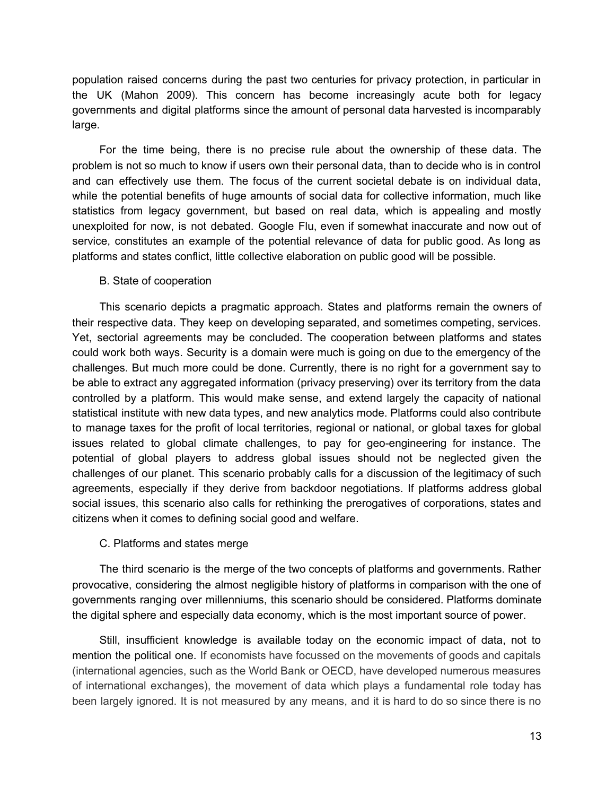population raised concerns during the past two centuries for privacy protection, in particular in the UK [\(Mahon](https://paperpile.com/c/2pzSlT/eOPa) 2009). This concern has become increasingly acute both for legacy governments and digital platforms since the amount of personal data harvested is incomparably large.

For the time being, there is no precise rule about the ownership of these data. The problem is not so much to know if users own their personal data, than to decide who is in control and can effectively use them. The focus of the current societal debate is on individual data, while the potential benefits of huge amounts of social data for collective information, much like statistics from legacy government, but based on real data, which is appealing and mostly unexploited for now, is not debated. Google Flu, even if somewhat inaccurate and now out of service, constitutes an example of the potential relevance of data for public good. As long as platforms and states conflict, little collective elaboration on public good will be possible.

## B. State of cooperation

This scenario depicts a pragmatic approach. States and platforms remain the owners of their respective data. They keep on developing separated, and sometimes competing, services. Yet, sectorial agreements may be concluded. The cooperation between platforms and states could work both ways. Security is a domain were much is going on due to the emergency of the challenges. But much more could be done. Currently, there is no right for a government say to be able to extract any aggregated information (privacy preserving) over its territory from the data controlled by a platform. This would make sense, and extend largely the capacity of national statistical institute with new data types, and new analytics mode. Platforms could also contribute to manage taxes for the profit of local territories, regional or national, or global taxes for global issues related to global climate challenges, to pay for geo-engineering for instance. The potential of global players to address global issues should not be neglected given the challenges of our planet. This scenario probably calls for a discussion of the legitimacy of such agreements, especially if they derive from backdoor negotiations. If platforms address global social issues, this scenario also calls for rethinking the prerogatives of corporations, states and citizens when it comes to defining social good and welfare.

# C. Platforms and states merge

The third scenario is the merge of the two concepts of platforms and governments. Rather provocative, considering the almost negligible history of platforms in comparison with the one of governments ranging over millenniums, this scenario should be considered. Platforms dominate the digital sphere and especially data economy, which is the most important source of power.

Still, insufficient knowledge is available today on the economic impact of data, not to mention the political one. If economists have focussed on the movements of goods and capitals (international agencies, such as the World Bank or OECD, have developed numerous measures of international exchanges), the movement of data which plays a fundamental role today has been largely ignored. It is not measured by any means, and it is hard to do so since there is no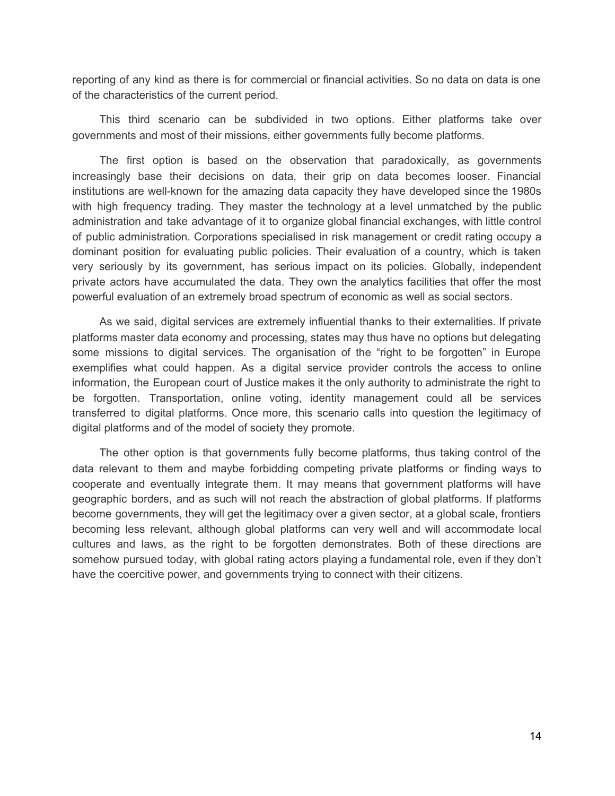reporting of any kind as there is for commercial or financial activities. So no data on data is one of the characteristics of the current period.

This third scenario can be subdivided in two options. Either platforms take over governments and most of their missions, either governments fully become platforms.

The first option is based on the observation that paradoxically, as governments increasingly base their decisions on data, their grip on data becomes looser. Financial institutions are well-known for the amazing data capacity they have developed since the 1980s with high frequency trading. They master the technology at a level unmatched by the public administration and take advantage of it to organize global financial exchanges, with little control of public administration. Corporations specialised in risk management or credit rating occupy a dominant position for evaluating public policies. Their evaluation of a country, which is taken very seriously by its government, has serious impact on its policies. Globally, independent private actors have accumulated the data. They own the analytics facilities that offer the most powerful evaluation of an extremely broad spectrum of economic as well as social sectors.

As we said, digital services are extremely influential thanks to their externalities. If private platforms master data economy and processing, states may thus have no options but delegating some missions to digital services. The organisation of the "right to be forgotten" in Europe exemplifies what could happen. As a digital service provider controls the access to online information, the European court of Justice makes it the only authority to administrate the right to be forgotten. Transportation, online voting, identity management could all be services transferred to digital platforms. Once more, this scenario calls into question the legitimacy of digital platforms and of the model of society they promote.

The other option is that governments fully become platforms, thus taking control of the data relevant to them and maybe forbidding competing private platforms or finding ways to cooperate and eventually integrate them. It may means that government platforms will have geographic borders, and as such will not reach the abstraction of global platforms. If platforms become governments, they will get the legitimacy over a given sector, at a global scale, frontiers becoming less relevant, although global platforms can very well and will accommodate local cultures and laws, as the right to be forgotten demonstrates. Both of these directions are somehow pursued today, with global rating actors playing a fundamental role, even if they don't have the coercitive power, and governments trying to connect with their citizens.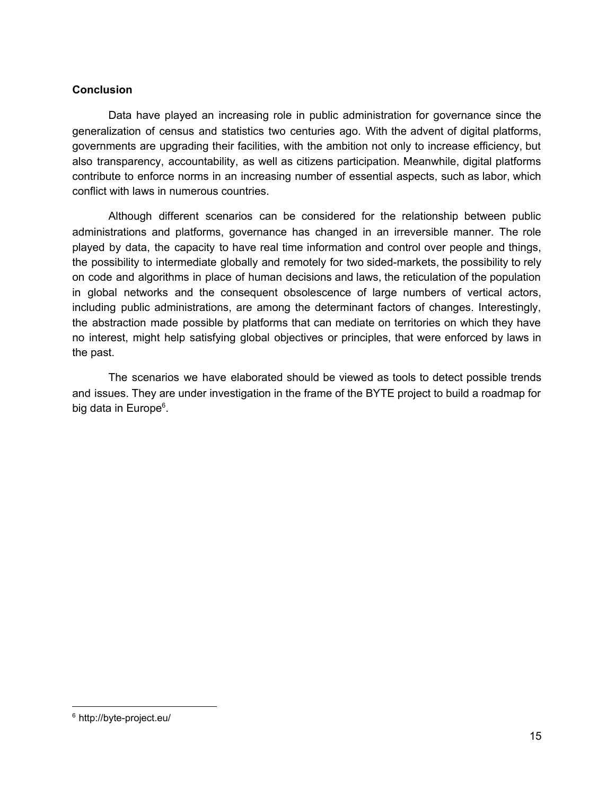# **Conclusion**

Data have played an increasing role in public administration for governance since the generalization of census and statistics two centuries ago. With the advent of digital platforms, governments are upgrading their facilities, with the ambition not only to increase efficiency, but also transparency, accountability, as well as citizens participation. Meanwhile, digital platforms contribute to enforce norms in an increasing number of essential aspects, such as labor, which conflict with laws in numerous countries.

Although different scenarios can be considered for the relationship between public administrations and platforms, governance has changed in an irreversible manner. The role played by data, the capacity to have real time information and control over people and things, the possibility to intermediate globally and remotely for two sidedmarkets, the possibility to rely on code and algorithms in place of human decisions and laws, the reticulation of the population in global networks and the consequent obsolescence of large numbers of vertical actors, including public administrations, are among the determinant factors of changes. Interestingly, the abstraction made possible by platforms that can mediate on territories on which they have no interest, might help satisfying global objectives or principles, that were enforced by laws in the past.

The scenarios we have elaborated should be viewed as tools to detect possible trends and issues. They are under investigation in the frame of the BYTE project to build a roadmap for big data in Europe<sup>6</sup>.

<sup>&</sup>lt;sup>6</sup> http://byte-project.eu/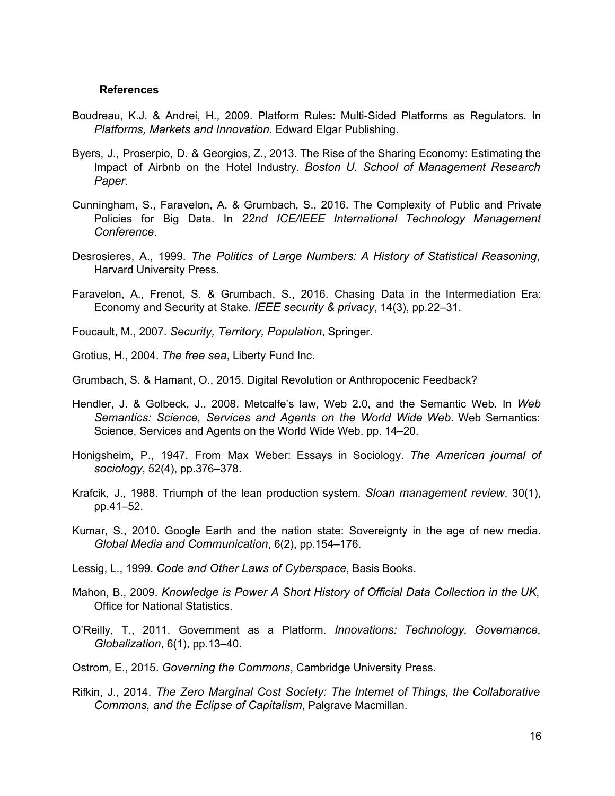#### **References**

- Boudreau, K.J. & Andrei, H., 2009. Platform Rules: Multi-Sided Platforms as [Regulators.](http://paperpile.com/b/2pzSlT/yemV) In *[Platforms, Markets and Innovation](http://paperpile.com/b/2pzSlT/yemV)*. Edward [Elgar Publishing.](http://paperpile.com/b/2pzSlT/yemV)
- Byers, J., Proserpio, D. & Georgios, Z., 2013. The Rise of the Sharing Economy: [Estimating](http://paperpile.com/b/2pzSlT/68NP) the Impact of Airbnb on the Hotel [Industry.](http://paperpile.com/b/2pzSlT/68NP) *Boston U. School of [Management](http://paperpile.com/b/2pzSlT/68NP) Research [Paper](http://paperpile.com/b/2pzSlT/68NP)*[.](http://paperpile.com/b/2pzSlT/68NP)
- [Cunningham,](http://paperpile.com/b/2pzSlT/HtpT) S., Faravelon, A. & Grumbach, S., 2016. The Complexity of Public and Private [Policies](http://paperpile.com/b/2pzSlT/HtpT) for Big Data. In *22nd ICE/IEEE International Technology [Management](http://paperpile.com/b/2pzSlT/HtpT) [Conference](http://paperpile.com/b/2pzSlT/HtpT)*[.](http://paperpile.com/b/2pzSlT/HtpT)
- [Desrosieres,](http://paperpile.com/b/2pzSlT/dxLm) A., 1999. *The Politics of Large Numbers: A History of Statistical [Reasoning](http://paperpile.com/b/2pzSlT/dxLm)*[,](http://paperpile.com/b/2pzSlT/dxLm) [Harvard University Press.](http://paperpile.com/b/2pzSlT/dxLm)
- Faravelon, A., Frenot, S. & Grumbach, S., 2016. Chasing Data in the [Intermediation](http://paperpile.com/b/2pzSlT/jVPz) Era: [Economy and Security at](http://paperpile.com/b/2pzSlT/jVPz) Stake. *IEEE [security &](http://paperpile.com/b/2pzSlT/jVPz) privacy*, 14(3), [pp.22–31.](http://paperpile.com/b/2pzSlT/jVPz)
- [Foucault, M., 2007.](http://paperpile.com/b/2pzSlT/6cqT) *Security, Territory, [Population](http://paperpile.com/b/2pzSlT/6cqT)*, [Springer.](http://paperpile.com/b/2pzSlT/6cqT)
- [Grotius, H., 2004.](http://paperpile.com/b/2pzSlT/pOg1) *[The free sea](http://paperpile.com/b/2pzSlT/pOg1)*, [Liberty Fund](http://paperpile.com/b/2pzSlT/pOg1) Inc.

Grumbach, S. & Hamant, O., 2015. Digital Revolution [or Anthropocenic Feedback?](http://paperpile.com/b/2pzSlT/p4ZS)

- Hendler, J. & Golbeck, J., 2008. [Metcalfe's](http://paperpile.com/b/2pzSlT/kug6) law, Web 2.0, and the Semantic Web. In *[Web](http://paperpile.com/b/2pzSlT/kug6) [Semantics:](http://paperpile.com/b/2pzSlT/kug6) Science, Services and Agents on the World Wide Web*. Web [Semantics:](http://paperpile.com/b/2pzSlT/kug6) [Science, Services and](http://paperpile.com/b/2pzSlT/kug6) Agents on the World Wide Web. pp. 14–20.
- [Honigsheim,](http://paperpile.com/b/2pzSlT/ACyo) P., 1947. From Max Weber: Essays in Sociology. *The [American](http://paperpile.com/b/2pzSlT/ACyo) journal of [sociology](http://paperpile.com/b/2pzSlT/ACyo)*[, 52\(4\), pp.376–378.](http://paperpile.com/b/2pzSlT/ACyo)
- Krafcik, J., 1988. Triumph of the lean [production](http://paperpile.com/b/2pzSlT/CEgu) system. *Sloan [management](http://paperpile.com/b/2pzSlT/CEgu) review*, [30\(1\),](http://paperpile.com/b/2pzSlT/CEgu) [pp.41–52.](http://paperpile.com/b/2pzSlT/CEgu)
- Kumar, S., 2010. Google Earth and the nation state: [Sovereignty](http://paperpile.com/b/2pzSlT/bAyv) in the age of new media. *[Global Media and Communication](http://paperpile.com/b/2pzSlT/bAyv)*, 6(2), [pp.154–176.](http://paperpile.com/b/2pzSlT/bAyv)
- [Lessig, L., 1999.](http://paperpile.com/b/2pzSlT/3vyg) *[Code and Other](http://paperpile.com/b/2pzSlT/3vyg) Laws of Cyberspace*, [Basis Books.](http://paperpile.com/b/2pzSlT/3vyg)
- [Mahon,](http://paperpile.com/b/2pzSlT/eOPa) B., 2009. *[Knowledge](http://paperpile.com/b/2pzSlT/eOPa) is Power A Short History of Official Data Collection in the UK*[,](http://paperpile.com/b/2pzSlT/eOPa) [Office for National Statistics.](http://paperpile.com/b/2pzSlT/eOPa)
- O'Reilly, T., 2011. [Government](http://paperpile.com/b/2pzSlT/bo6S) as a Platform. *Innovations: Technology, [Governance,](http://paperpile.com/b/2pzSlT/bo6S) [Globalization](http://paperpile.com/b/2pzSlT/bo6S)*[, 6\(1\), pp.13–40.](http://paperpile.com/b/2pzSlT/bo6S)
- [Ostrom, E., 2015.](http://paperpile.com/b/2pzSlT/bv4C) *[Governing the Commons](http://paperpile.com/b/2pzSlT/bv4C)*, Cambridge [University Press.](http://paperpile.com/b/2pzSlT/bv4C)
- [Rifkin,](http://paperpile.com/b/2pzSlT/Eczu) J., 2014. *The Zero Marginal Cost Society: The Internet of Things, the [Collaborative](http://paperpile.com/b/2pzSlT/Eczu) [Commons, and the Eclipse of](http://paperpile.com/b/2pzSlT/Eczu) Capitalism*, Palgrave [Macmillan.](http://paperpile.com/b/2pzSlT/Eczu)